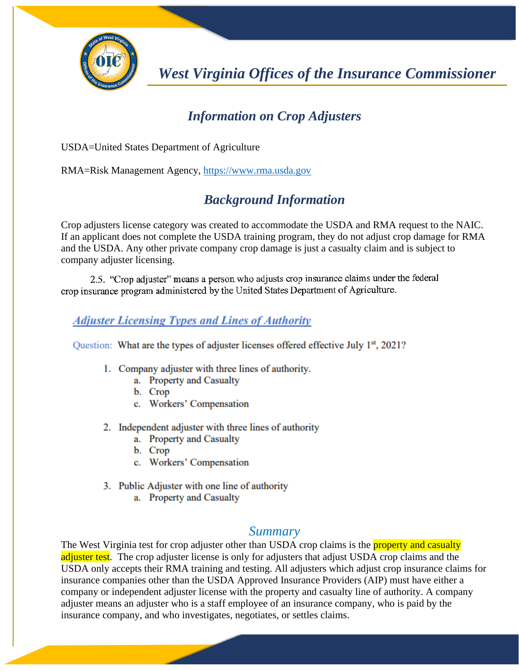

*West Virginia Offices of the Insurance Commissioner*

## *Information on Crop Adjusters*

USDA=United States Department of Agriculture

RMA=Risk Management Agency, [https://www.rma.usda.gov](https://www.rma.usda.gov/)

## *Background Information*

Crop adjusters license category was created to accommodate the USDA and RMA request to the NAIC. If an applicant does not complete the USDA training program, they do not adjust crop damage for RMA and the USDA. Any other private company crop damage is just a casualty claim and is subject to company adjuster licensing.

2.5. "Crop adjuster" means a person who adjusts crop insurance claims under the federal crop insurance program administered by the United States Department of Agriculture.

## **Adjuster Licensing Types and Lines of Authority**

Question: What are the types of adjuster licenses offered effective July 1<sup>st</sup>, 2021?

- 1. Company adjuster with three lines of authority.
	- a. Property and Casualty
	- b. Crop
	- c. Workers' Compensation
- 2. Independent adjuster with three lines of authority
	- a. Property and Casualty
	- b. Crop
	- c. Workers' Compensation
- 3. Public Adjuster with one line of authority
	- a. Property and Casualty

## *Summary*

The West Virginia test for crop adjuster other than USDA crop claims is the **property and casualty** adjuster test. The crop adjuster license is only for adjusters that adjust USDA crop claims and the USDA only accepts their RMA training and testing. All adjusters which adjust crop insurance claims for insurance companies other than the USDA Approved Insurance Providers (AIP) must have either a company or independent adjuster license with the property and casualty line of authority. A company adjuster means an adjuster who is a staff employee of an insurance company, who is paid by the insurance company, and who investigates, negotiates, or settles claims.